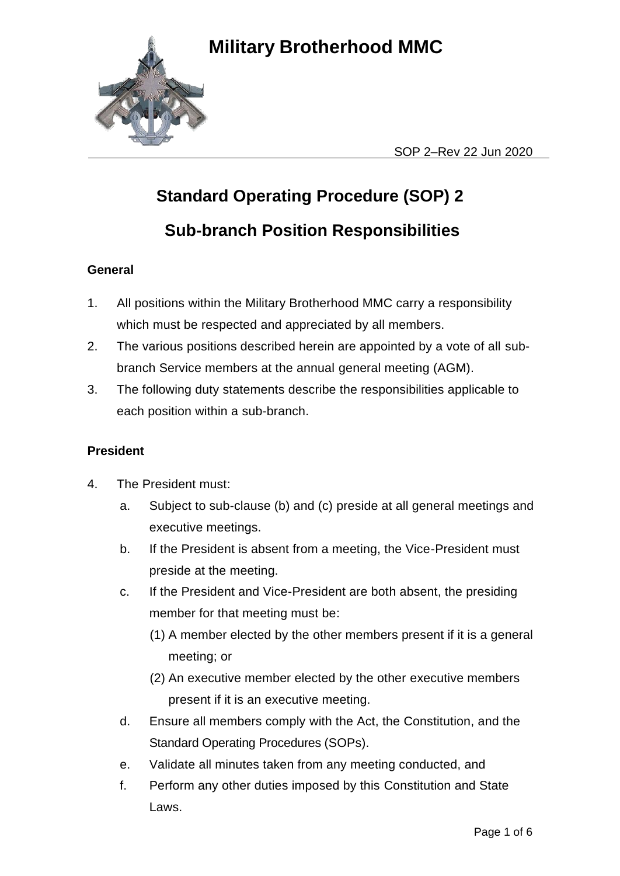

SOP 2–Rev 22 Jun 2020

# **Standard Operating Procedure (SOP) 2**

## **Sub-branch Position Responsibilities**

### **General**

- 1. All positions within the Military Brotherhood MMC carry a responsibility which must be respected and appreciated by all members.
- 2. The various positions described herein are appointed by a vote of all subbranch Service members at the annual general meeting (AGM).
- 3. The following duty statements describe the responsibilities applicable to each position within a sub-branch.

### **President**

- 4. The President must:
	- a. Subject to sub-clause (b) and (c) preside at all general meetings and executive meetings.
	- b. If the President is absent from a meeting, the Vice-President must preside at the meeting.
	- c. If the President and Vice-President are both absent, the presiding member for that meeting must be:
		- (1) A member elected by the other members present if it is a general meeting; or
		- (2) An executive member elected by the other executive members present if it is an executive meeting.
	- d. Ensure all members comply with the Act, the Constitution, and the Standard Operating Procedures (SOPs).
	- e. Validate all minutes taken from any meeting conducted, and
	- f. Perform any other duties imposed by this Constitution and State Laws.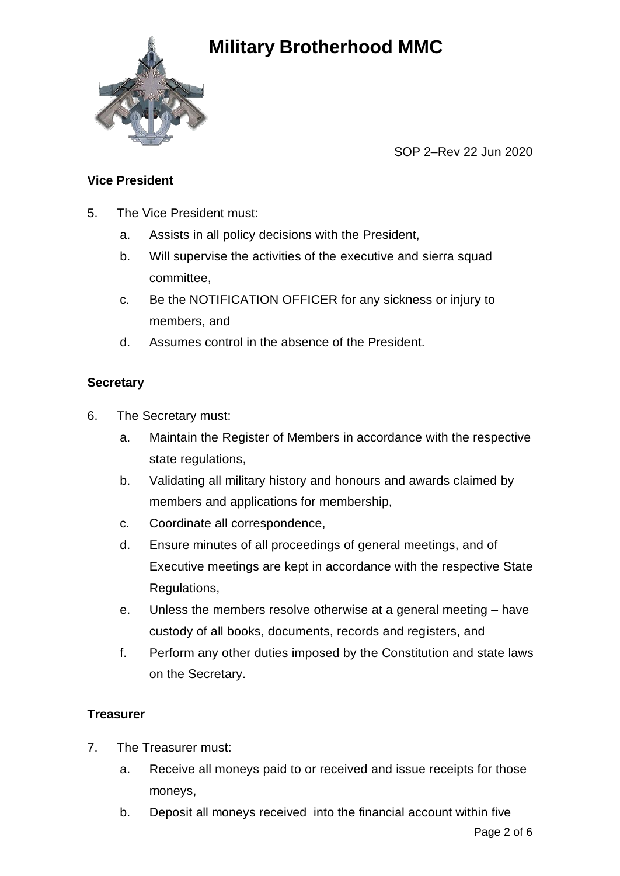

SOP 2–Rev 22 Jun 2020

### **Vice President**

- 5. The Vice President must:
	- a. Assists in all policy decisions with the President,
	- b. Will supervise the activities of the executive and sierra squad committee,
	- c. Be the NOTIFICATION OFFICER for any sickness or injury to members, and
	- d. Assumes control in the absence of the President.

#### **Secretary**

- 6. The Secretary must:
	- a. Maintain the Register of Members in accordance with the respective state regulations,
	- b. Validating all military history and honours and awards claimed by members and applications for membership,
	- c. Coordinate all correspondence,
	- d. Ensure minutes of all proceedings of general meetings, and of Executive meetings are kept in accordance with the respective State Regulations,
	- e. Unless the members resolve otherwise at a general meeting have custody of all books, documents, records and registers, and
	- f. Perform any other duties imposed by the Constitution and state laws on the Secretary.

#### **Treasurer**

- 7. The Treasurer must:
	- a. Receive all moneys paid to or received and issue receipts for those moneys,
	- b. Deposit all moneys received into the financial account within five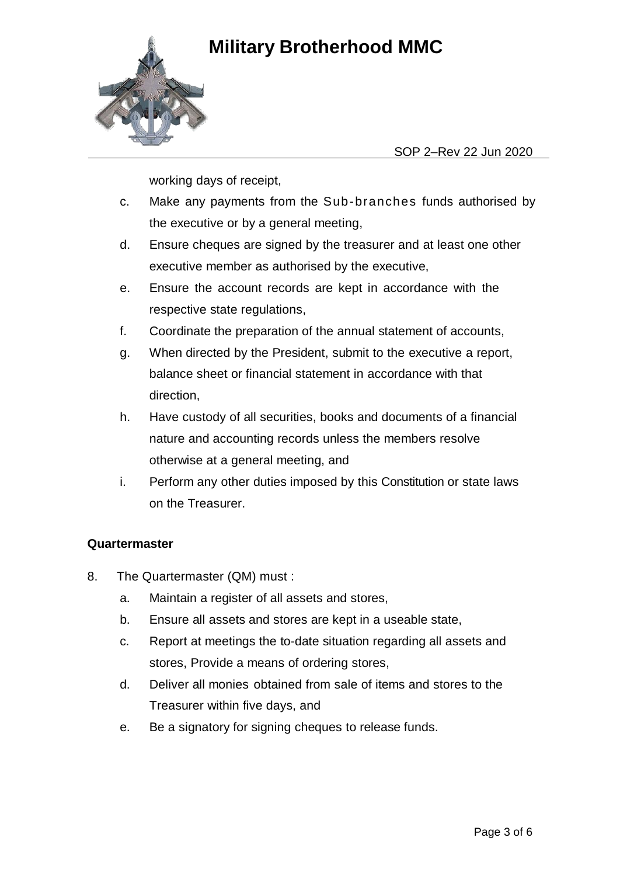

#### SOP 2–Rev 22 Jun 2020

working days of receipt,

- c. Make any payments from the Sub-branches funds authorised by the executive or by a general meeting,
- d. Ensure cheques are signed by the treasurer and at least one other executive member as authorised by the executive,
- e. Ensure the account records are kept in accordance with the respective state regulations,
- f. Coordinate the preparation of the annual statement of accounts,
- g. When directed by the President, submit to the executive a report, balance sheet or financial statement in accordance with that direction,
- h. Have custody of all securities, books and documents of a financial nature and accounting records unless the members resolve otherwise at a general meeting, and
- i. Perform any other duties imposed by this Constitution or state laws on the Treasurer.

#### **Quartermaster**

- 8. The Quartermaster (QM) must :
	- a. Maintain a register of all assets and stores,
	- b. Ensure all assets and stores are kept in a useable state,
	- c. Report at meetings the to-date situation regarding all assets and stores, Provide a means of ordering stores,
	- d. Deliver all monies obtained from sale of items and stores to the Treasurer within five days, and
	- e. Be a signatory for signing cheques to release funds.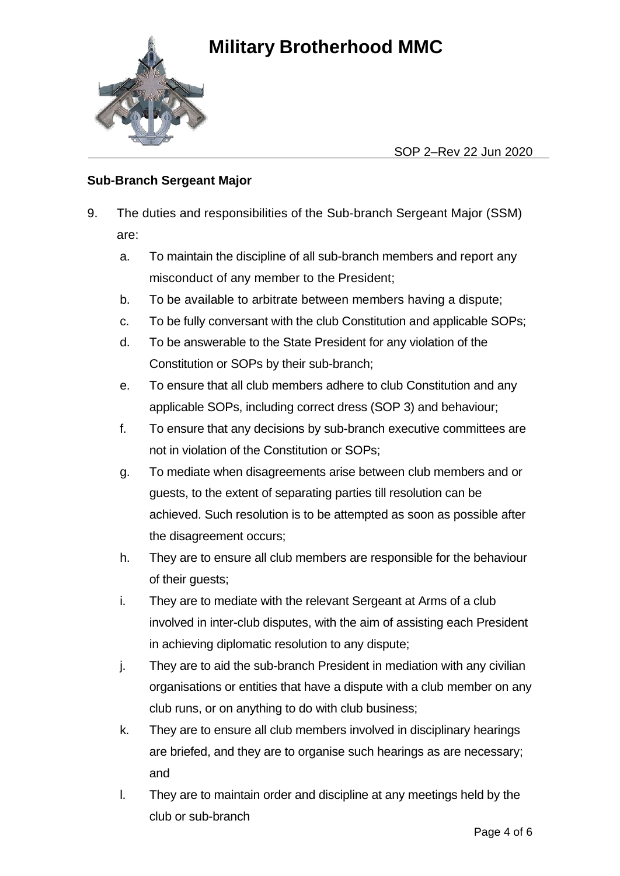

SOP 2–Rev 22 Jun 2020

### **Sub-Branch Sergeant Major**

- 9. The duties and responsibilities of the Sub-branch Sergeant Major (SSM) are:
	- a. To maintain the discipline of all sub-branch members and report any misconduct of any member to the President;
	- b. To be available to arbitrate between members having a dispute;
	- c. To be fully conversant with the club Constitution and applicable SOPs;
	- d. To be answerable to the State President for any violation of the Constitution or SOPs by their sub-branch;
	- e. To ensure that all club members adhere to club Constitution and any applicable SOPs, including correct dress (SOP 3) and behaviour;
	- f. To ensure that any decisions by sub-branch executive committees are not in violation of the Constitution or SOPs;
	- g. To mediate when disagreements arise between club members and or guests, to the extent of separating parties till resolution can be achieved. Such resolution is to be attempted as soon as possible after the disagreement occurs;
	- h. They are to ensure all club members are responsible for the behaviour of their guests;
	- i. They are to mediate with the relevant Sergeant at Arms of a club involved in inter-club disputes, with the aim of assisting each President in achieving diplomatic resolution to any dispute;
	- j. They are to aid the sub-branch President in mediation with any civilian organisations or entities that have a dispute with a club member on any club runs, or on anything to do with club business;
	- k. They are to ensure all club members involved in disciplinary hearings are briefed, and they are to organise such hearings as are necessary; and
	- l. They are to maintain order and discipline at any meetings held by the club or sub-branch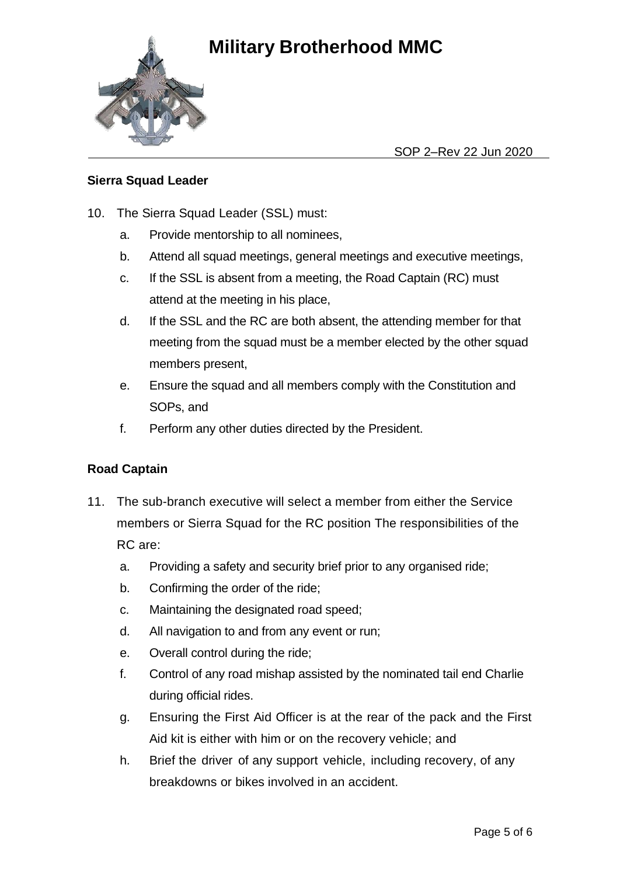

SOP 2–Rev 22 Jun 2020

### **Sierra Squad Leader**

- 10. The Sierra Squad Leader (SSL) must:
	- a. Provide mentorship to all nominees,
	- b. Attend all squad meetings, general meetings and executive meetings,
	- c. If the SSL is absent from a meeting, the Road Captain (RC) must attend at the meeting in his place,
	- d. If the SSL and the RC are both absent, the attending member for that meeting from the squad must be a member elected by the other squad members present,
	- e. Ensure the squad and all members comply with the Constitution and SOPs, and
	- f. Perform any other duties directed by the President.

### **Road Captain**

- 11. The sub-branch executive will select a member from either the Service members or Sierra Squad for the RC position The responsibilities of the RC are:
	- a. Providing a safety and security brief prior to any organised ride;
	- b. Confirming the order of the ride;
	- c. Maintaining the designated road speed;
	- d. All navigation to and from any event or run;
	- e. Overall control during the ride;
	- f. Control of any road mishap assisted by the nominated tail end Charlie during official rides.
	- g. Ensuring the First Aid Officer is at the rear of the pack and the First Aid kit is either with him or on the recovery vehicle; and
	- h. Brief the driver of any support vehicle, including recovery, of any breakdowns or bikes involved in an accident.